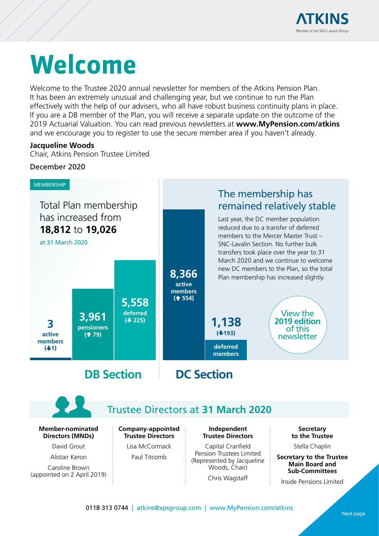

# <span id="page-0-0"></span>**Welcome**

Welcome to the Trustee 2020 annual newsletter for members of the Atkins Pension Plan. It has been an extremely unusual and challenging year, but we continue to run the Plan effectively with the help of our advisers, who all have robust business continuity plans in place. If you are a DB member of the Plan, you will receive a separate update on the outcome of the 2019 Actuarial Valuation. You can read previous newsletters at **www.MyPension.com/atkins** and we encourage you to register to use the secure member area if you haven't already.

#### **Jacqueline Woods**

Chair, Atkins Pension Trustee Limited

#### December 2020



## Trustee Directors at **31 March 2020**

**Member-nominated Directors (MNDs)**

David Grout

Alistair Keron

Caroline Brown (appointed on 2 April 2019) **Company-appointed Trustee Directors**

Lisa McCormack Paul Titcomb

**Independent Trustee Directors**

Capital Cranfield Pension Trustees Limited (Represented by Jacqueline Woods, Chair)

Chris Wagstaff

**Secretary to the Trustee**

Stella Chaplin

**Secretary to the Trustee Main Board and Sub-Committees**

Insi[de Pensions Limited](#page-1-0)